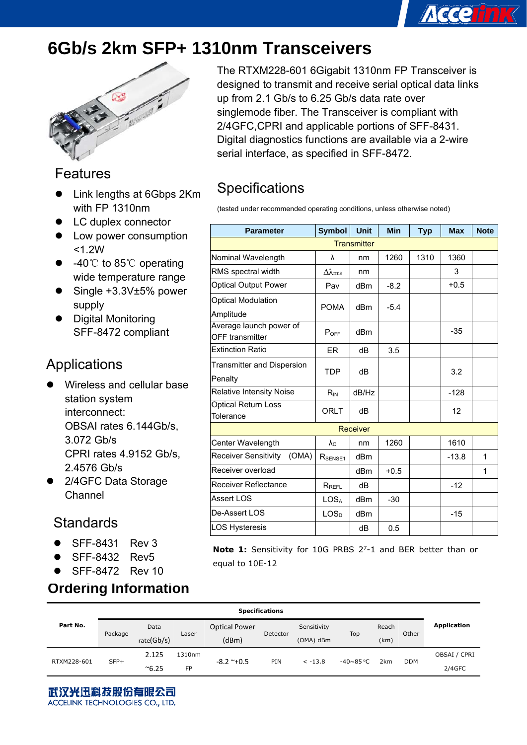# **6Gb/s 2km SFP+ 1310nm Transceivers**



### Features

- Link lengths at 6Gbps 2Km with FP 1310nm
- LC duplex connector
- Low power consumption <1.2W
- $-40^{\circ}$  to 85°C operating wide temperature range
- Single +3.3V±5% power supply
- Digital Monitoring SFF-8472 compliant

### Applications

- Wireless and cellular base station system interconnect: OBSAI rates 6.144Gb/s, 3.072 Gb/s CPRI rates 4.9152 Gb/s, 2.4576 Gb/s
- 2/4GFC Data Storage Channel

### **Standards**

- z SFF-8431 Rev 3
- z SFF-8432 Rev5
- $\bullet$  SFF-8472 Rev 10

### **Ordering Information**

The RTXM228-601 6Gigabit 1310nm FP Transceiver is designed to transmit and receive serial optical data links up from 2.1 Gb/s to 6.25 Gb/s data rate over singlemode fiber. The Transceiver is compliant with 2/4GFC,CPRI and applicable portions of SFF-8431. Digital diagnostics functions are available via a 2-wire serial interface, as specified in SFF-8472.

**Accelink** 

## **Specifications**

(tested under recommended operating conditions, unless otherwise noted)

| <b>Parameter</b>                                  | <b>Symbol</b>       | <b>Unit</b>     | <b>Min</b> | <b>Typ</b> | <b>Max</b> | <b>Note</b> |  |  |
|---------------------------------------------------|---------------------|-----------------|------------|------------|------------|-------------|--|--|
| <b>Transmitter</b>                                |                     |                 |            |            |            |             |  |  |
| Nominal Wavelength                                | λ                   | nm              | 1260       | 1310       | 1360       |             |  |  |
| RMS spectral width                                | $\Delta\lambda$ rms | nm              |            |            | 3          |             |  |  |
| <b>Optical Output Power</b>                       | Pav                 | dBm             | $-8.2$     |            | $+0.5$     |             |  |  |
| <b>Optical Modulation</b><br>Amplitude            | <b>POMA</b>         | dBm             | $-5.4$     |            |            |             |  |  |
| Average launch power of<br><b>OFF</b> transmitter | POFF                | d <sub>Bm</sub> |            |            | $-35$      |             |  |  |
| <b>Extinction Ratio</b>                           | ER.                 | dB              | 3.5        |            |            |             |  |  |
| Transmitter and Dispersion<br>Penalty             | <b>TDP</b>          | dВ              |            |            | 3.2        |             |  |  |
| <b>Relative Intensity Noise</b>                   | $R_{IN}$            | dB/Hz           |            |            | $-128$     |             |  |  |
| <b>Optical Return Loss</b><br>Tolerance           | <b>ORLT</b>         | dB              |            |            | 12         |             |  |  |
|                                                   |                     | Receiver        |            |            |            |             |  |  |
| Center Wavelength                                 | $\lambda_{\rm C}$   | nm              | 1260       |            | 1610       |             |  |  |
| (OMA)<br><b>Receiver Sensitivity</b>              | R <sub>SENSE1</sub> | dBm             |            |            | $-13.8$    | 1           |  |  |
| Receiver overload                                 |                     | dB <sub>m</sub> | $+0.5$     |            |            | 1           |  |  |
| <b>Receiver Reflectance</b>                       | RREFL               | dB              |            |            | $-12$      |             |  |  |
| <b>Assert LOS</b>                                 | LOS <sub>A</sub>    | dBm             | $-30$      |            |            |             |  |  |
| De-Assert LOS                                     | LOS <sub>D</sub>    | dB <sub>m</sub> |            |            | $-15$      |             |  |  |
| <b>LOS Hysteresis</b>                             |                     | dB              | 0.5        |            |            |             |  |  |

**Note 1:** Sensitivity for 10G PRBS 27-1 and BER better than or equal to 10E-12

|             | <b>Specifications</b> |               |        |                      |          |                    |                  |       |             |              |
|-------------|-----------------------|---------------|--------|----------------------|----------|--------------------|------------------|-------|-------------|--------------|
| Part No.    | Package               | Data          | Laser  | <b>Optical Power</b> | Detector | Sensitivity<br>Top | Reach            | Other | Application |              |
|             |                       | rate(Gb/s)    |        | (dBm)                |          | (OMA) dBm          |                  | (km)  |             |              |
| RTXM228-601 | $SFP+$                | 2.125         | 1310nm | $-8.2$ $\sim$ +0.5   | PIN      | $<-13.8$           | $-40 \sim 85$ °C | 2km   | <b>DDM</b>  | OBSAI / CPRI |
|             |                       | $^{\sim}6.25$ | FP     |                      |          |                    |                  |       |             | $2/4$ GFC    |

武汉光迅科技股份有眼公司 ACCELINK TECHNOLOGIES CO., LTD.